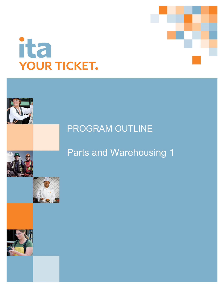# ita YOUR TICKET.

## PROGRAM OUTLINE

# Parts and Warehousing 1





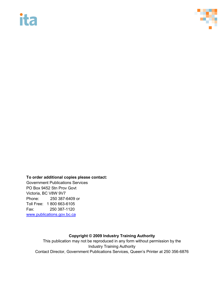# **ita**



### **To order additional copies please contact:**

Government Publications Services PO Box 9452 Stn Prov Govt Victoria, BC V8W 9V7 Phone: 250 387-6409 or Toll Free: 1 800 663-6105 Fax: 250 387-1120 [www.publications.gov.bc.ca](http://www.publications.gov.bc.ca/)

### **Copyright © 2009 Industry Training Authority**

This publication may not be reproduced in any form without permission by the Industry Training Authority Contact Director, Government Publications Services, Queen's Printer at 250 356-6876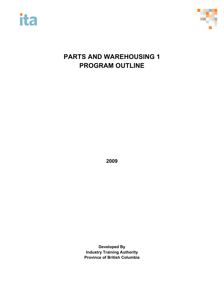



## **PARTS AND WAREHOUSING 1 PROGRAM OUTLINE**

**2009**

**Developed By Industry Training Authority Province of British Columbia**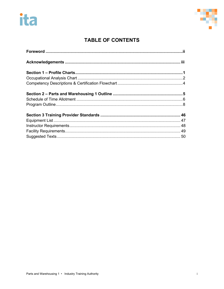# ita



### **TABLE OF CONTENTS**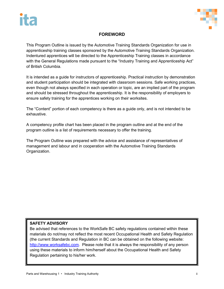



### **FOREWORD**

This Program Outline is issued by the Automotive Training Standards Organization for use in apprenticeship training classes sponsored by the Automotive Training Standards Organization. Indentured apprentices will be directed to the Apprenticeship Training classes in accordance with the General Regulations made pursuant to the "Industry Training and Apprenticeship Act" of British Columbia.

It is intended as a guide for instructors of apprenticeship. Practical instruction by demonstration and student participation should be integrated with classroom sessions. Safe working practices, even though not always specified in each operation or topic, are an implied part of the program and should be stressed throughout the apprenticeship. It is the responsibility of employers to ensure safety training for the apprentices working on their worksites.

The "Content" portion of each competency is there as a guide only, and is not intended to be exhaustive.

A competency profile chart has been placed in the program outline and at the end of the program outline is a list of requirements necessary to offer the training.

The Program Outline was prepared with the advice and assistance of representatives of management and labour and in cooperation with the Automotive Training Standards Organization.

### **SAFETY ADVISORY**

Be advised that references to the WorkSafe BC safety regulations contained within these materials do not/may not reflect the most recent Occupational Health and Safety Regulation (the current Standards and Regulation in BC can be obtained on the following website: [http://www.worksafebc.com.](http://www.worksafebc.com/) Please note that it is always the responsibility of any person using these materials to inform him/herself about the Occupational Health and Safety Regulation pertaining to his/her work.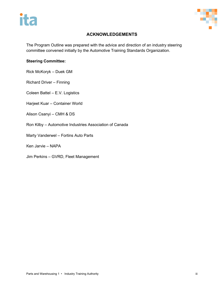



### **ACKNOWLEDGEMENTS**

The Program Outline was prepared with the advice and direction of an industry steering committee convened initially by the Automotive Training Standards Organization.

### **Steering Committee:**

Rick McKoryk – Duek GM

Richard Driver – Finning

Coleen Battel – E.V. Logistics

Harjeet Kuar – Container World

- Alison Csanyi CMH & DS
- Ron Kilby Automotive Industries Association of Canada

Marty Vanderwel – Fortins Auto Parts

Ken Jarvie – NAPA

Jim Perkins – GVRD, Fleet Management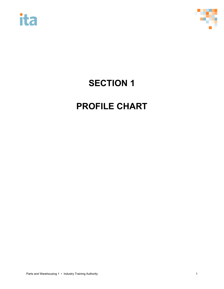



## **SECTION 1**

# **PROFILE CHART**

Parts and Warehousing 1 • Industry Training Authority 1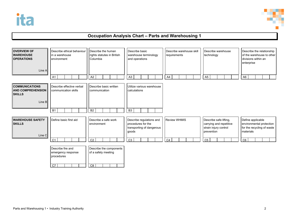

### **Occupation Analysis Chart – Parts and Warehousing 1**

| <b>OVERVIEW OF</b><br><b>WAREHOUSE</b><br><b>OPERATIONS</b><br>Line A        | Describe ethical behaviour<br>in a warehouse<br>environment | Describe the human<br>rights statutes in British<br>Columbia      | Describe basic<br>warehouse terminology<br>and operations                            | Describe warehouse skill<br>requirements | Describe warehouse<br>technology                                                         | Describe the relationship<br>of the warehouse to other<br>divisions within an<br>enterprise |
|------------------------------------------------------------------------------|-------------------------------------------------------------|-------------------------------------------------------------------|--------------------------------------------------------------------------------------|------------------------------------------|------------------------------------------------------------------------------------------|---------------------------------------------------------------------------------------------|
|                                                                              | A <sub>1</sub>                                              | A2                                                                | A <sub>3</sub>                                                                       | A4                                       | A <sub>5</sub>                                                                           | A <sub>6</sub>                                                                              |
| <b>COMMUNICATIONS</b><br><b>AND COMPREHENSION</b><br><b>SKILLS</b><br>Line B | Describe effective verbal<br>communication skills           | Describe basic written<br>communication                           | Utilize various warehouse<br>calculations                                            |                                          |                                                                                          |                                                                                             |
|                                                                              | <b>B1</b>                                                   | <b>B2</b>                                                         | B <sub>3</sub>                                                                       |                                          |                                                                                          |                                                                                             |
|                                                                              |                                                             |                                                                   |                                                                                      |                                          |                                                                                          |                                                                                             |
| <b>WAREHOUSE SAFETY</b><br><b>SKILLS</b><br>Line C                           | Define basic first aid                                      | Describe a safe work<br>environment                               | Describe regulations and<br>procedures for the<br>transporting of dangerous<br>goods | <b>Review WHMIS</b>                      | Describe safe lifting,<br>carrying and repetitive<br>strain injury control<br>prevention | Define applicable<br>environmental protection<br>for the recycling of waste<br>materials    |
|                                                                              | C <sub>1</sub>                                              | C <sub>2</sub>                                                    | C <sub>3</sub>                                                                       | C <sub>4</sub>                           | C <sub>5</sub>                                                                           | C6                                                                                          |
|                                                                              | Describe fire and<br>emergency response<br>procedures<br>C7 | Describe the components<br>of a safety meeting<br>$\overline{C8}$ |                                                                                      |                                          |                                                                                          |                                                                                             |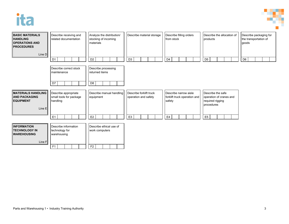



| <b>BASIC MATERIALS</b><br><b>HANDLING</b><br><b>OPERATIONS AND</b><br><b>PROCEDURES</b><br>Line D | Describe receiving and<br>related documentation                         | Analyze the distribution/<br>stocking of incoming<br>materials | Describe material storage                       | Describe filling orders<br>from stock                           | Describe the allocation of<br>products                                         | Describe packaging for<br>the transportation of<br>goods |
|---------------------------------------------------------------------------------------------------|-------------------------------------------------------------------------|----------------------------------------------------------------|-------------------------------------------------|-----------------------------------------------------------------|--------------------------------------------------------------------------------|----------------------------------------------------------|
|                                                                                                   | D <sub>1</sub>                                                          | D <sub>2</sub>                                                 | D <sub>3</sub>                                  | D <sub>4</sub>                                                  | D <sub>5</sub>                                                                 | D <sub>6</sub>                                           |
|                                                                                                   | Describe correct stock<br>maintenance                                   | Describe processing<br>returned items                          |                                                 |                                                                 |                                                                                |                                                          |
|                                                                                                   | D7                                                                      | D <sub>8</sub>                                                 |                                                 |                                                                 |                                                                                |                                                          |
| <b>MATERIALS HANDLING</b><br><b>AND PACKAGING</b><br><b>EQUIPMENT</b><br>Line E                   | Describe appropriate<br>small tools for package<br>handling             | Describe manual handling<br>equipment                          | Describe forklift truck<br>operation and safety | Describe narrow aisle<br>forklift truck operation and<br>safety | Describe the safe<br>operation of cranes and<br>required rigging<br>procedures |                                                          |
|                                                                                                   | E <sub>1</sub>                                                          | E <sub>2</sub>                                                 | E <sub>3</sub>                                  | E4                                                              | E <sub>5</sub>                                                                 |                                                          |
| <b>INFORMATION</b><br><b>TECHNOLOGY IN</b><br><b>WAREHOUSING</b><br>Line F                        | Describe information<br>technology for<br>warehousing<br>F <sub>1</sub> | Describe ethical use of<br>work computers<br>F <sub>2</sub>    |                                                 |                                                                 |                                                                                |                                                          |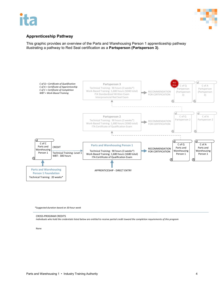

### **Apprenticeship Pathway**

This graphic provides an overview of the Parts and Warehousing Person 1 apprenticeship pathway illustrating a pathway to Red Seal certification as a **Partsperson (Partsperson 3)**.



*\*Suggested duration based on 30-hour week*

CROSS-PROGRAM CREDITS *Individuals who hold the credentials listed below are entitled to receive partial credit toward the completion requirements of this program*

None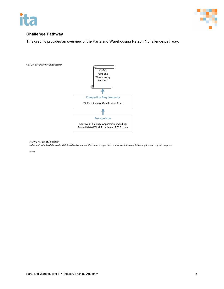



### **Challenge Pathway**

This graphic provides an overview of the Parts and Warehousing Person 1 challenge pathway.



CROSS-PROGRAM CREDITS

*Individuals who hold the credentials listed below are entitled to receive partial credit toward the completion requirements of this program*

*None*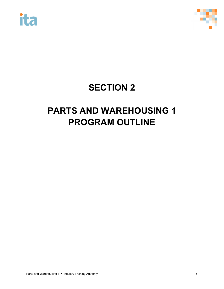



# **SECTION 2**

# **PARTS AND WAREHOUSING 1 PROGRAM OUTLINE**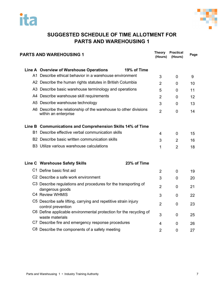



### **SUGGESTED SCHEDULE OF TIME ALLOTMENT FOR PARTS AND WAREHOUSING 1**

| <b>PARTS AND WAREHOUSING 1</b>                                                           |             | <b>Theory</b><br>(Hours) | <b>Practical</b><br>(Hours) | Page |
|------------------------------------------------------------------------------------------|-------------|--------------------------|-----------------------------|------|
| Line A Overview of Warehouse Operations                                                  | 19% of Time |                          |                             |      |
| A1 Describe ethical behavior in a warehouse environment                                  |             | 3                        | $\mathbf 0$                 | 9    |
| A2 Describe the human rights statutes in British Columbia                                |             | $\overline{2}$           | $\Omega$                    | 10   |
| A3 Describe basic warehouse terminology and operations                                   |             | 5                        | $\mathbf 0$                 | 11   |
| A4 Describe warehouse skill requirements                                                 |             | $\overline{2}$           | $\mathbf 0$                 | 12   |
| A5 Describe warehouse technology                                                         |             | 3                        | $\mathbf 0$                 | 13   |
| A6 Describe the relationship of the warehouse to other divisions<br>within an enterprise |             | $\overline{2}$           | $\overline{0}$              | 14   |
| Line B Communications and Comprehension Skills 14% of Time                               |             |                          |                             |      |
| B1 Describe effective verbal communication skills                                        |             | 4                        | $\mathbf 0$                 | 15   |
| B2 Describe basic written communication skills                                           |             |                          | $\overline{2}$              | 16   |
| B3 Utilize various warehouse calculations                                                |             | $\mathbf{1}$             | $\overline{2}$              | 18   |
| Line C Warehouse Safety Skills                                                           | 23% of Time |                          |                             |      |
| C1 Define basic first aid                                                                |             | $\overline{2}$           | $\Omega$                    | 19   |
| C <sub>2</sub> Describe a safe work environment                                          |             | 3                        | $\mathbf 0$                 | 20   |
| C3 Describe regulations and procedures for the transporting of<br>dangerous goods        |             | $\overline{2}$           | $\mathbf 0$                 | 21   |
| C4 Review WHMIS                                                                          |             | 3                        | 0                           | 22   |
| C5 Describe safe lifting, carrying and repetitive strain injury<br>control prevention    |             | $\overline{2}$           | $\overline{0}$              | 23   |
| C6 Define applicable environmental protection for the recycling of<br>waste materials    |             | 3                        | 0                           | 25   |
| C7 Describe fire and emergency response procedures                                       |             | 4                        | 0                           | 26   |
| C8 Describe the components of a safety meeting                                           |             | $\overline{2}$           | 0                           | 27   |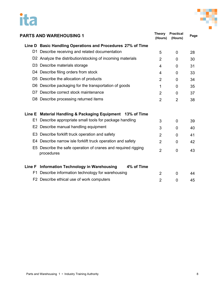# ita



|        | <b>PARTS AND WAREHOUSING 1</b>                                              | <b>Theory</b><br>(Hours) | <b>Practical</b><br>(Hours) | Page |
|--------|-----------------------------------------------------------------------------|--------------------------|-----------------------------|------|
|        | Line D Basic Handling Operations and Procedures 27% of Time                 |                          |                             |      |
|        | D1 Describe receiving and related documentation                             | 5                        | 0                           | 28   |
|        | D2 Analyze the distribution/stocking of incoming materials                  | $\overline{2}$           | $\Omega$                    | 30   |
|        | D3 Describe materials storage                                               | 4                        | $\Omega$                    | 31   |
|        | D4 Describe filing orders from stock                                        | 4                        | 0                           | 33   |
|        | D5 Describe the allocation of products                                      | $\overline{2}$           | $\Omega$                    | 34   |
|        | D6 Describe packaging for the transportation of goods                       | 1                        | 0                           | 35   |
| D7.    | Describe correct stock maintenance                                          | $\overline{2}$           | $\Omega$                    | 37   |
|        | D8 Describe processing returned items                                       | $\overline{2}$           | $\overline{2}$              | 38   |
| Line E | Material Handling & Packaging Equipment 13% of Time                         |                          |                             |      |
| E1.    | Describe appropriate small tools for package handling                       | 3                        | 0                           | 39   |
|        | E2 Describe manual handling equipment                                       | 3                        | $\Omega$                    | 40   |
|        | E3 Describe forklift truck operation and safety                             | 2                        | $\Omega$                    | 41   |
|        | E4 Describe narrow isle forklift truck operation and safety                 | 2                        | $\Omega$                    | 42   |
|        | E5 Describe the safe operation of cranes and required rigging<br>procedures | $\overline{2}$           | $\overline{0}$              | 43   |
| Line F | <b>Information Technology in Warehousing</b><br>4% of Time                  |                          |                             |      |
| F1     | Describe information technology for warehousing                             | $\overline{2}$           | 0                           | 44   |
|        | F2 Describe ethical use of work computers                                   | 2                        | 0                           | 45   |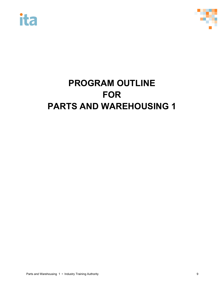



# **PROGRAM OUTLINE FOR PARTS AND WAREHOUSING 1**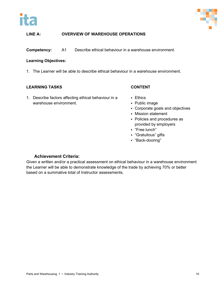



**Competency:** A1 Describe ethical behaviour in a warehouse environment.

### **Learning Objectives:**

1. The Learner will be able to describe ethical behaviour in a warehouse environment.

### **LEARNING TASKS CONTENT**

1. Describe factors affecting ethical behaviour in a warehouse environment.

- **Ethics**
- Public image
- Corporate goals and objectives
- Mission statement
- Policies and procedures as provided by employers
- "Free lunch"
- "Gratuitous" gifts
- "Back-dooring"

### **Achievement Criteria:**

Given a written and/or a practical assessment on ethical behaviour in a warehouse environment the Learner will be able to demonstrate knowledge of the trade by achieving 70% or better based on a summative total of Instructor assessments.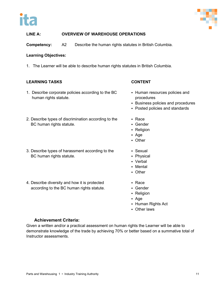



**Competency:** A2 Describe the human rights statutes in British Columbia.

### **Learning Objectives:**

1. The Learner will be able to describe human rights statutes in British Columbia.

### **LEARNING TASKS CONTENT**

- 1. Describe corporate policies according to the BC human rights statute.
- 2. Describe types of discrimination according to the BC human rights statute.
- 3. Describe types of harassment according to the BC human rights statute.
- 4. Describe diversity and how it is protected according to the BC human rights statute.
- 
- Human resources policies and procedures
- **Business policies and procedures**
- Posted policies and standards
- Race
- Gender
- Religion
- Age
- Other
- Sexual
- Physical
- Verbal
- Mental
- Other
- Race
- Gender
- Religion
- Age
- Human Rights Act
- Other laws

### **Achievement Criteria:**

Given a written and/or a practical assessment on human rights the Learner will be able to demonstrate knowledge of the trade by achieving 70% or better based on a summative total of Instructor assessments.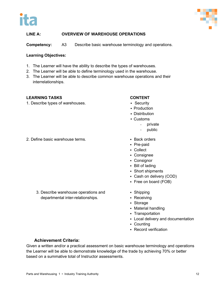



**Competency:** A3 Describe basic warehouse terminology and operations.

### **Learning Objectives:**

- 1. The Learner will have the ability to describe the types of warehouses.
- 2. The Learner will be able to define terminology used in the warehouse.
- 3. The Learner will be able to describe common warehouse operations and their interrelationships.

### **LEARNING TASKS CONTENT**

1. Describe types of warehouses. The security of Security

- 
- Production
- **-** Distribution
- Customs
	- private
	- public
- 2. Define basic warehouse terms. The state of the Back orders
	- Pre-paid
	- Collect
	- Consignee
	- Consignor
	- Bill of lading
	- Short shipments
	- Cash on delivery (COD)
	- Free on board (FOB)
	- Shipping
	- Receiving
	- Storage
	- Material handling
	- Transportation
	- Local delivery and documentation
	- Counting
	- Record verification

### **Achievement Criteria:**

Given a written and/or a practical assessment on basic warehouse terminology and operations the Learner will be able to demonstrate knowledge of the trade by achieving 70% or better based on a summative total of Instructor assessments.

3. Describe warehouse operations and departmental inter-relationships.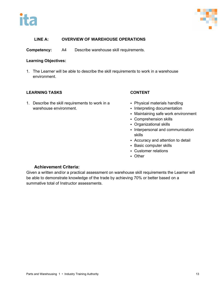



**Competency:** A4 Describe warehouse skill requirements.

### **Learning Objectives:**

1. The Learner will be able to describe the skill requirements to work in a warehouse environment.

### **LEARNING TASKS CONTENT**

1. Describe the skill requirements to work in a warehouse environment.

- Physical materials handling
- Interpreting documentation
- Maintaining safe work environment
- Comprehension skills
- Organizational skills
- Interpersonal and communication skills
- Accuracy and attention to detail
- Basic computer skills
- Customer relations
- Other

### **Achievement Criteria:**

Given a written and/or a practical assessment on warehouse skill requirements the Learner will be able to demonstrate knowledge of the trade by achieving 70% or better based on a summative total of Instructor assessments.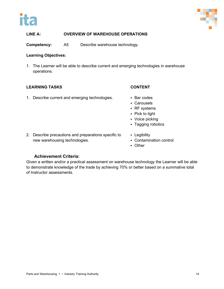



**Competency:** A5 Describe warehouse technology.

### **Learning Objectives:**

1. The Learner will be able to describe current and emerging technologies in warehouse operations.

### **LEARNING TASKS CONTENT**

1. Describe current and emerging technologies. • Bar codes

- 
- Carousels
- RF systems
- Pick to light
- Voice picking
- Tagging robotics
- 2. Describe precautions and preparations specific to new warehousing technologies.
- **-** Legibility
- Contamination control
- Other

### **Achievement Criteria:**

Given a written and/or a practical assessment on warehouse technology the Learner will be able to demonstrate knowledge of the trade by achieving 70% or better based on a summative total of Instructor assessments.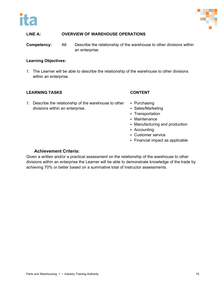



**Competency:** A6 Describe the relationship of the warehouse to other divisions within an enterprise.

### **Learning Objectives:**

1. The Learner will be able to describe the relationship of the warehouse to other divisions within an enterprise.

### **LEARNING TASKS CONTENT**

1. Describe the relationship of the warehouse to other divisions within an enterprise.

- Purchasing
- Sales/Marketing
- Transportation
- Maintenance
- Manufacturing and production
- Accounting
- Customer service
- Financial impact as applicable

### **Achievement Criteria:**

Given a written and/or a practical assessment on the relationship of the warehouse to other divisions within an enterprise the Learner will be able to demonstrate knowledge of the trade by achieving 70% or better based on a summative total of Instructor assessments.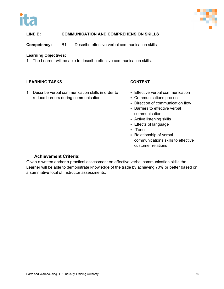



### **LINE B: COMMUNICATION AND COMPREHENSION SKILLS**

**Competency:** B1 Describe effective verbal communication skills

### **Learning Objectives:**

1. The Learner will be able to describe effective communication skills.

### **LEARNING TASKS CONTENT**

1. Describe verbal communication skills in order to reduce barriers during communication.

- **Effective verbal communication**
- Communications process
- Direction of communication flow
- **Barriers to effective verbal** communication
- Active listening skills
- Effects of language
- Tone
- Relationship of verbal communications skills to effective customer relations

### **Achievement Criteria:**

Given a written and/or a practical assessment on effective verbal communication skills the Learner will be able to demonstrate knowledge of the trade by achieving 70% or better based on a summative total of Instructor assessments.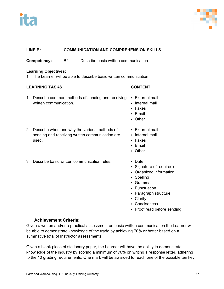



### **LINE B: COMMUNICATION AND COMPREHENSION SKILLS**

**Competency:** B2 Describe basic written communication.

### **Learning Objectives:**

1. The Learner will be able to describe basic written communication.

### **LEARNING TASKS CONTENT**

- 1. Describe common methods of sending and receiving written communication.
- **External mail**
- Internal mail
- Faxes
- Email
- Other
- 2. Describe when and why the various methods of sending and receiving written communication are used.
- 3. Describe basic written communication rules. Date
- External mail
- Internal mail
- Faxes
- Email
- **C**ther
	-
	- Signature (if required)
	- Organized information
	- Spelling
	- Grammar
	- Punctuation
	- Paragraph structure
	- **Clarity**
	- Conciseness
	- Proof read before sending

### **Achievement Criteria:**

Given a written and/or a practical assessment on basic written communication the Learner will be able to demonstrate knowledge of the trade by achieving 70% or better based on a summative total of Instructor assessments.

Given a blank piece of stationary paper, the Learner will have the ability to demonstrate knowledge of the industry by scoring a minimum of 70% on writing a response letter, adhering to the 10 grading requirements. One mark will be awarded for each one of the possible ten key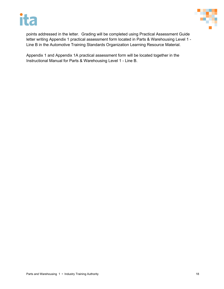



points addressed in the letter. Grading will be completed using Practical Assessment Guide letter writing Appendix 1 practical assessment form located in Parts & Warehousing Level 1 - Line B in the Automotive Training Standards Organization Learning Resource Material.

Appendix 1 and Appendix 1A practical assessment form will be located together in the Instructional Manual for Parts & Warehousing Level 1 - Line B.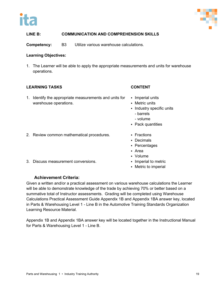



### **LINE B: COMMUNICATION AND COMPREHENSION SKILLS**

**Competency:** B3 Utilize various warehouse calculations.

### **Learning Objectives:**

1. The Learner will be able to apply the appropriate measurements and units for warehouse operations.

### **LEARNING TASKS CONTENT**

1. Identify the appropriate measurements and units for warehouse operations.

- Imperial units
- Metric units
- **Industry specific units** 
	- barrels
	- volume
- Pack quantities
- 2. Review common mathematical procedures. Fractions
- 3. Discuss measurement conversions. The example imperial to metric
- 
- Decimals
- Percentages
- Area
- Volume
	-
	- Metric to imperial

### **Achievement Criteria:**

Given a written and/or a practical assessment on various warehouse calculations the Learner will be able to demonstrate knowledge of the trade by achieving 70% or better based on a summative total of Instructor assessments. Grading will be completed using Warehouse Calculations Practical Assessment Guide Appendix 1B and Appendix 1BA answer key, located in Parts & Warehousing Level 1 - Line B in the Automotive Training Standards Organization Learning Resource Material.

Appendix 1B and Appendix 1BA answer key will be located together in the Instructional Manual for Parts & Warehousing Level 1 - Line B.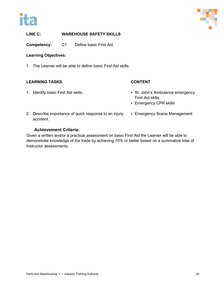



**Competency:** C1 Define basic First Aid

### **Learning Objectives:**

1. The Learner will be able to define basic First Aid skills.

### **LEARNING TASKS CONTENT**

- 1. Identify basic First Aid skills. The St. John's Ambulance emergency First Aid skills
	- **Emergency CPR skills**
- 2. Describe importance of quick response to an injury accident.

### Emergency Scene Management

### **Achievement Criteria:**

Given a written and/or a practical assessment on basic First Aid the Learner will be able to demonstrate knowledge of the trade by achieving 70% or better based on a summative total of Instructor assessments.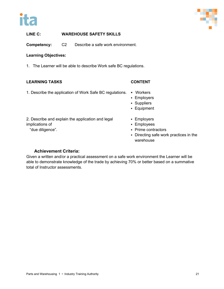



**Competency:** C2 Describe a safe work environment.

### **Learning Objectives:**

1. The Learner will be able to describe Work safe BC regulations.

### **LEARNING TASKS CONTENT**

1. Describe the application of Work Safe BC regulations. • Workers

- **Employers**
- Suppliers
- Equipment

2. Describe and explain the application and legal implications of

"due diligence".

- Employers
- Employees
- Prime contractors
- Directing safe work practices in the warehouse

### **Achievement Criteria:**

Given a written and/or a practical assessment on a safe work environment the Learner will be able to demonstrate knowledge of the trade by achieving 70% or better based on a summative total of Instructor assessments.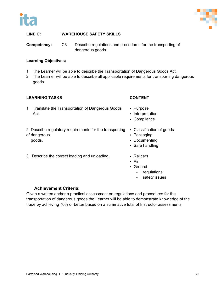



**Competency:** C3 Describe regulations and procedures for the transporting of dangerous goods.

### **Learning Objectives:**

- 1. The Learner will be able to describe the Transportation of Dangerous Goods Act.
- 2. The Learner will be able to describe all applicable requirements for transporting dangerous goods.

### **LEARNING TASKS CONTENT**

- 1. Translate the Transportation of Dangerous Goods Act.
- 2. Describe regulatory requirements for the transporting Classification of goods of dangerous
	- goods.
- 3. Describe the correct loading and unloading. **•••••••••••••••••••••••••** Railcars
- 
- Purpose
- **Interpretation**
- Compliance
- 
- Packaging
- Documenting
- Safe handling
- 
- Air
- Ground
	- regulations
	- safety issues

### **Achievement Criteria:**

Given a written and/or a practical assessment on regulations and procedures for the transportation of dangerous goods the Learner will be able to demonstrate knowledge of the trade by achieving 70% or better based on a summative total of Instructor assessments.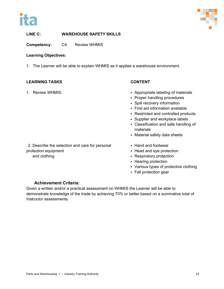



**Competency:** C4 Review WHMIS

### **Learning Objectives:**

1. The Learner will be able to explain WHMIS as it applies a warehouse environment.

### **LEARNING TASKS CONTENT**

- 1. Review WHMIS. The state of the state of the Appropriate labeling of materials
	- Proper handling procedures
	- Spill recovery information
	- First aid information available
	- Restricted and controlled products
	- **Supplier and workplace labels**
	- Classification and safe handling of materials
	- Material safety data sheets

2. Describe the selection and care for personal protection equipment

and clothing.

- Hand and footwear
- Head and eye protection
- Respiratory protection
- Hearing protection
- Various types of protective clothing
- Fall protection gear

### **Achievement Criteria:**

Given a written and/or a practical assessment on WHMIS the Learner will be able to demonstrate knowledge of the trade by achieving 70% or better based on a summative total of Instructor assessments.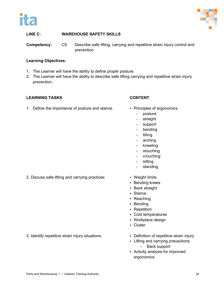



**Competency:** C5 Describe safe lifting, carrying and repetitive strain injury control and prevention.

### **Learning Objectives:**

- 1. The Learner will have the ability to define proper posture.
- 2. The Learner will have the ability to describe safe lifting carrying and repetitive strain injury prevention.

### **LEARNING TASKS CONTENT**

- 1. Define the importance of posture and stance. Principles of ergonomics
- - posture
	- straight
	- support
	- bending
	- tilting
	- arching
	- kneeling
	- slouching
	- crouching
	- sitting
	- standing
	- - **Bending knees**
		- **Back straight**
		- Stance
		- Reaching
		- **Bending**
		- Repetition
		- Cold temperatures
		- Workplace design
		- **-** Clutter
		-
		- Lifting and carrying precautions - Back support
		- Activity analysis for improved ergonomics

2. Discuss safe lifting and carrying practices • Weight limits

3. Identify repetitive strain injury situations. **Definition of repetitive strain injury**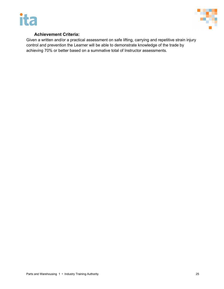



### **Achievement Criteria:**

Given a written and/or a practical assessment on safe lifting, carrying and repetitive strain injury control and prevention the Learner will be able to demonstrate knowledge of the trade by achieving 70% or better based on a summative total of Instructor assessments.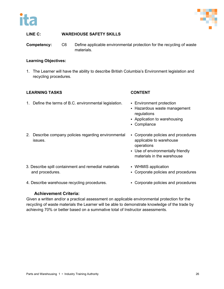



**Competency:** C6 Define applicable environmental protection for the recycling of waste materials.

### **Learning Objectives:**

1. The Learner will have the ability to describe British Columbia's Environment legislation and recycling procedures.

### **LEARNING TASKS CONTENT**

- 1. Define the terms of B.C. environmental legislation. Environment protection
	- Hazardous waste management
	- regulations

 Use of environmentally friendly materials in the warehouse

- Application to warehousing
- Compliance

operations

WHMIS application

- 2. Describe company policies regarding environmental issues. Corporate policies and procedures applicable to warehouse
- 3. Describe spill containment and remedial materials and procedures.
- 4. Describe warehouse recycling procedures. <br>
Corporate policies and procedures
- 

Corporate policies and procedures

### **Achievement Criteria:**

Given a written and/or a practical assessment on applicable environmental protection for the recycling of waste materials the Learner will be able to demonstrate knowledge of the trade by achieving 70% or better based on a summative total of Instructor assessments.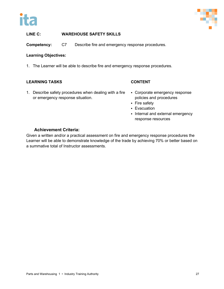



**Competency:** C7 Describe fire and emergency response procedures.

### **Learning Objectives:**

1. The Learner will be able to describe fire and emergency response procedures.

### **LEARNING TASKS CONTENT**

- 1. Describe safety procedures when dealing with a fire or emergency response situation.
- Corporate emergency response policies and procedures
- Fire safety
- **Evacuation**
- Internal and external emergency response resources

### **Achievement Criteria:**

Given a written and/or a practical assessment on fire and emergency response procedures the Learner will be able to demonstrate knowledge of the trade by achieving 70% or better based on a summative total of Instructor assessments.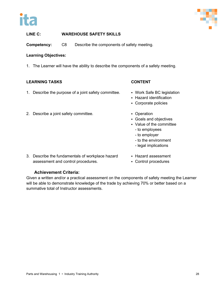



**Competency:** C8 Describe the components of safety meeting.

### **Learning Objectives:**

1. The Learner will have the ability to describe the components of a safety meeting.

### **LEARNING TASKS CONTENT**

- 1. Describe the purpose of a joint safety committee. Work Safe BC legislation
- 2. Describe a joint safety committee. **Example 2.** Operation

- 
- Hazard identification
- Corporate policies
- 
- Goals and objectives
- Value of the committee
	- to employees
	- to employer
	- to the environment
	- legal implications
- 3. Describe the fundamentals of workplace hazard assessment and control procedures.
- Hazard assessment
- Control procedures

### **Achievement Criteria:**

Given a written and/or a practical assessment on the components of safety meeting the Learner will be able to demonstrate knowledge of the trade by achieving 70% or better based on a summative total of Instructor assessments.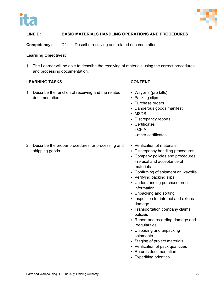



**Competency:** D1 Describe receiving and related documentation.

### **Learning Objectives:**

1. The Learner will be able to describe the receiving of materials using the correct procedures and processing documentation.

### **LEARNING TASKS CONTENT**

1. Describe the function of receiving and the related documentation.

- Waybills (pro bills)
- Packing slips
- Purchase orders
- Dangerous goods manifest
- MSDS
- Discrepancy reports
- Certificates
	- CFIA
	- other certificates
- 2. Describe the proper procedures for processing and shipping goods.
- Verification of materials
- Discrepancy handling procedures
- Company policies and procedures - refusal and acceptance of materials
- Confirming of shipment on waybills
- Verifying packing slips
- Understanding purchase order information
- Unpacking and sorting
- Inspection for internal and external damage
- Transportation company claims policies
- Report and recording damage and irregularities
- Unloading and unpacking shipments
- Staging of project materials
- Verification of pack quantities
- Returns documentation
- Expediting priorities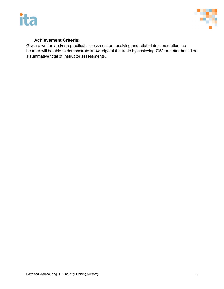



### **Achievement Criteria:**

Given a written and/or a practical assessment on receiving and related documentation the Learner will be able to demonstrate knowledge of the trade by achieving 70% or better based on a summative total of Instructor assessments.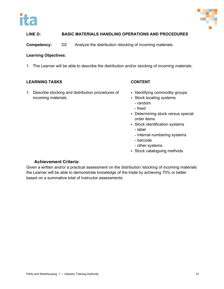



**Competency:** D2 Analyze the distribution /stocking of incoming materials.

### **Learning Objectives:**

1. The Learner will be able to describe the distribution and/or stocking of incoming materials.

### **LEARNING TASKS CONTENT**

1. Describe stocking and distribution procedures of incoming materials.

- Identifying commodity groups
- Stock locating systems
	- random - fixed
- Determining stock versus special order items
- Stock identification systems
	- label
	- internal numbering systems
	- barcode
	- other systems
- Stock cataloguing methods

### **Achievement Criteria:**

Given a written and/or a practical assessment on the distribution /stocking of incoming materials the Learner will be able to demonstrate knowledge of the trade by achieving 70% or better based on a summative total of Instructor assessments.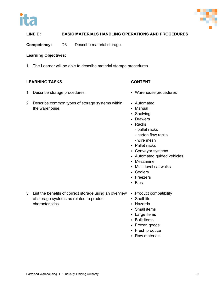



**Competency:** D3 Describe material storage.

### **Learning Objectives:**

1. The Learner will be able to describe material storage procedures.

### **LEARNING TASKS CONTENT**

- 1. Describe storage procedures. **Exercise 1. Second Line State Structures Warehouse procedures**
- 2. Describe common types of storage systems within the warehouse.
- 
- Automated
- Manual
- Shelving
- **Drawers**
- Racks
	- pallet racks
	- carton flow racks
	- wire mesh
- Pallet racks
- Conveyor systems
- Automated guided vehicles
- Mezzanine
- Multi-level cat walks
- Coolers
- **Freezers**
- Bins
- 3. List the benefits of correct storage using an overview of storage systems as related to product characteristics.
- Product compatibility
- Shelf life
- Hazards
- Small items
- **Large items**
- **-** Bulk items
- Frozen goods
- Fresh produce
- Raw materials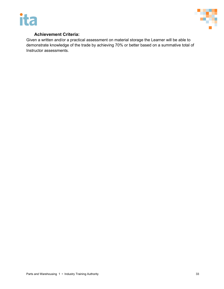



### **Achievement Criteria:**

Given a written and/or a practical assessment on material storage the Learner will be able to demonstrate knowledge of the trade by achieving 70% or better based on a summative total of Instructor assessments.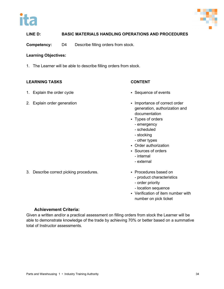



**Competency:** D4 Describe filling orders from stock.

### **Learning Objectives:**

1. The Learner will be able to describe filling orders from stock.

### **LEARNING TASKS CONTENT**

- 1. Explain the order cycle **Secuence of events** sequence of events
- 

- 
- 2. Explain order generation **Importance of correct order** generation, authorization and documentation
	- Types of orders
		- emergency
		- scheduled
		- stocking
		- other types
	- Order authorization
	- Sources of orders
		- internal
		- external
- 3. Describe correct picking procedures. **Example 20 Following Procedures based on** 
	- - product characteristics
		- order priority
		- location sequence
	- Verification of item number with number on pick ticket

### **Achievement Criteria:**

Given a written and/or a practical assessment on filling orders from stock the Learner will be able to demonstrate knowledge of the trade by achieving 70% or better based on a summative total of Instructor assessments.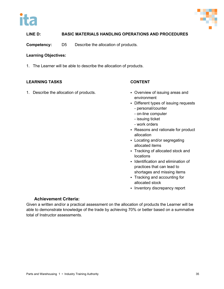



**Competency:** D5 Describe the allocation of products.

### **Learning Objectives:**

1. The Learner will be able to describe the allocation of products.

### **LEARNING TASKS CONTENT**

1. Describe the allocation of products. **Example 20 COVER 1.** Overview of issuing areas and

- environment
- Different types of issuing requests
	- personal/counter
	- on-line computer
	- issuing ticket
	- work orders
- Reasons and rationale for product allocation
- Locating and/or segregating allocated items
- Tracking of allocated stock and locations
- **IDENTIFICATE AND IDENTIFICATE I**dentification and elimination of practices that can lead to shortages and missing items
- Tracking and accounting for allocated stock
- Inventory discrepancy report

### **Achievement Criteria:**

Given a written and/or a practical assessment on the allocation of products the Learner will be able to demonstrate knowledge of the trade by achieving 70% or better based on a summative total of Instructor assessments.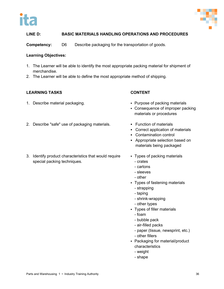



**Competency:** D6 Describe packaging for the transportation of goods.

### **Learning Objectives:**

- 1. The Learner will be able to identify the most appropriate packing material for shipment of merchandise.
- 2. The Learner will be able to define the most appropriate method of shipping.

### **LEARNING TASKS CONTENT**

- 1. Describe material packaging. The same of packing materials of packing materials
- 2. Describe "safe" use of packaging materials. Function of materials
- 
- 
- **Consequence of improper packing** materials or procedures
- - Correct application of materials
	- Contamination control
	- Appropriate selection based on materials being packaged
- 3. Identify product characteristics that would require special packing techniques.
- Types of packing materials - crates
	- cartons
	- sleeves
	- other
- Types of fastening materials
	- strapping
	- taping
	- shrink-wrapping
	- other types
- Types of filler materials
	- foam
	- bubble pack
	- air-filled packs
	- paper (tissue, newsprint, etc.)
	- other fillers
- Packaging for material/product characteristics
	- weight
	- shape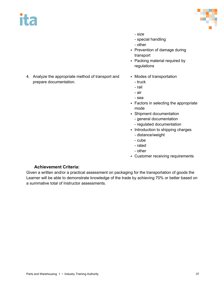# ita



- size
- special handling
- other
- Prevention of damage during transport
- Packing material required by regulations
- 4. Analyze the appropriate method of transport and prepare documentation.
- Modes of transportation
	- truck
	- rail
	- air
	- sea
- Factors in selecting the appropriate mode
- Shipment documentation
	- general documentation
	- regulated documentation
- Introduction to shipping charges
	- distance/weight
	- cube
	- rated
	- other
- Customer receiving requirements

### **Achievement Criteria:**

Given a written and/or a practical assessment on packaging for the transportation of goods the Learner will be able to demonstrate knowledge of the trade by achieving 70% or better based on a summative total of Instructor assessments.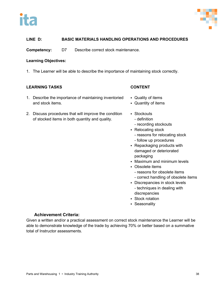



**Competency:** D7 Describe correct stock maintenance.

### **Learning Objectives:**

1. The Learner will be able to describe the importance of maintaining stock correctly.

### **LEARNING TASKS CONTENT**

- 1. Describe the importance of maintaining inventoried and stock items.
- 2. Discuss procedures that will improve the condition of stocked items in both quantity and quality.

- Quality of items
- Quantity of items
- Stockouts
	- definition
	- recording stockouts
- Relocating stock
	- reasons for relocating stock
	- follow up procedures
- Repackaging products with damaged or deteriorated packaging
- Maximum and minimum levels
- Obsolete items
	- reasons for obsolete items
	- correct handling of obsolete items
- Discrepancies in stock levels - techniques in dealing with discrepancies
- Stock rotation
- **Seasonality**

### **Achievement Criteria:**

Given a written and/or a practical assessment on correct stock maintenance the Learner will be able to demonstrate knowledge of the trade by achieving 70% or better based on a summative total of Instructor assessments.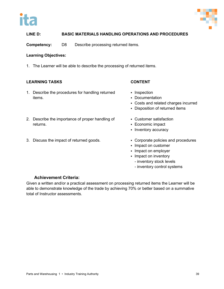



**Competency:** D8 Describe processing returned items.

### **Learning Objectives:**

1. The Learner will be able to describe the processing of returned items.

### **LEARNING TASKS CONTENT**

1. Describe the procedures for handling returned items.

- Inspection
- **-** Documentation
- Costs and related charges incurred
- Disposition of returned items
- 2. Describe the importance of proper handling of returns.
- 3. Discuss the impact of returned goods. **Corporate policies and procedures**
- Customer satisfaction
- Economic impact
- Inventory accuracy
	-
	- **Impact on customer**
	- **Impact on employer**
	- **Impact on inventory** 
		- inventory stock levels
		- inventory control systems

### **Achievement Criteria:**

Given a written and/or a practical assessment on processing returned items the Learner will be able to demonstrate knowledge of the trade by achieving 70% or better based on a summative total of Instructor assessments.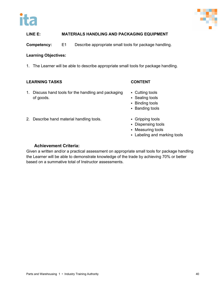



**Competency:** E1 Describe appropriate small tools for package handling.

### **Learning Objectives:**

1. The Learner will be able to describe appropriate small tools for package handling.

### **LEARNING TASKS CONTENT**

- 1. Discuss hand tools for the handling and packaging of goods.
- 
- Cutting tools
- Sealing tools
- **Binding tools**
- **Banding tools**
- 2. Describe hand material handling tools. **Example 2.** Gripping tools
	- **Dispensing tools**
	- Measuring tools
	- Labeling and marking tools

### **Achievement Criteria:**

Given a written and/or a practical assessment on appropriate small tools for package handling the Learner will be able to demonstrate knowledge of the trade by achieving 70% or better based on a summative total of Instructor assessments.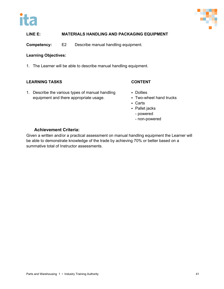



**Competency:** E2 Describe manual handling equipment.

### **Learning Objectives:**

1. The Learner will be able to describe manual handling equipment.

### **LEARNING TASKS CONTENT**

1. Describe the various types of manual handling equipment and there appropriate usage.

- **Dollies**
- Two-wheel hand trucks
- Carts
- Pallet jacks
	- powered
	- non-powered

### **Achievement Criteria:**

Given a written and/or a practical assessment on manual handling equipment the Learner will be able to demonstrate knowledge of the trade by achieving 70% or better based on a summative total of Instructor assessments.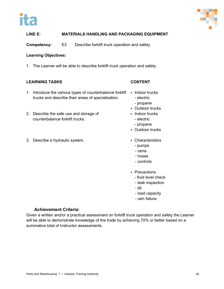



**Competency:** E3 Describe forklift truck operation and safety.

### **Learning Objectives:**

1. The Learner will be able to describe forklift truck operation and safety.

### **LEARNING TASKS CONTENT**

- 1. Introduce the various types of counterbalance forklift Indoor trucks trucks and describe their areas of specialization.
- 2. Describe the safe use and storage of counterbalance forklift trucks.
- 3. Describe a hydraulic system. The same control of the Characteristics

- - electric
	- propane
- **-** Outdoor trucks
- Indoor trucks
	- electric
	- propane
- **-** Outdoor trucks
- - pumps
	- rams
	- hoses
	- controls
- Precautions
	- fluid level check
	- leak inspection
	- tilt
	- load capacity
	- ram failure

### **Achievement Criteria:**

Given a written and/or a practical assessment on forklift truck operation and safety the Learner will be able to demonstrate knowledge of the trade by achieving 70% or better based on a summative total of Instructor assessments.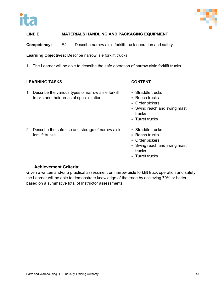



**Competency:** E4 Describe narrow aisle forklift truck operation and safety.

**Learning Objectives:** Describe narrow isle forklift trucks.

1. The Learner will be able to describe the safe operation of narrow aisle forklift trucks.

### **LEARNING TASKS CONTENT**

- 1. Describe the various types of narrow aisle forklift trucks and their areas of specialization.
- 
- Straddle trucks • Reach trucks
- Order pickers
- Swing reach and swing mast trucks
- **Turret trucks**
- 2. Describe the safe use and storage of narrow aisle forklift trucks.
- Straddle trucks
- Reach trucks
- Order pickers
- Swing reach and swing mast trucks
- **Turret trucks**

### **Achievement Criteria:**

Given a written and/or a practical assessment on narrow aisle forklift truck operation and safety the Learner will be able to demonstrate knowledge of the trade by achieving 70% or better based on a summative total of Instructor assessments.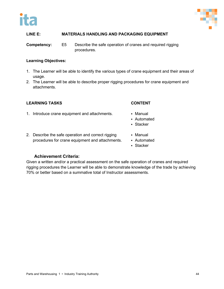



**Competency:** E5 Describe the safe operation of cranes and required rigging procedures.

### **Learning Objectives:**

- 1. The Learner will be able to identify the various types of crane equipment and their areas of usage.
- 2. The Learner will be able to describe proper rigging procedures for crane equipment and attachments.

### **LEARNING TASKS CONTENT**

- 1. Introduce crane equipment and attachments. Manual
	-
	- Automated
	- Stacker
- 2. Describe the safe operation and correct rigging procedures for crane equipment and attachments.
- Manual
- Automated
- Stacker

### **Achievement Criteria:**

Given a written and/or a practical assessment on the safe operation of cranes and required rigging procedures the Learner will be able to demonstrate knowledge of the trade by achieving 70% or better based on a summative total of Instructor assessments.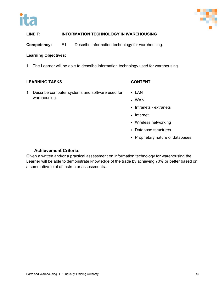



### **LINE F: INFORMATION TECHNOLOGY IN WAREHOUSING**

**Competency:** F1 Describe information technology for warehousing.

### **Learning Objectives:**

1. The Learner will be able to describe information technology used for warehousing.

### **LEARNING TASKS CONTENT**

- 1. Describe computer systems and software used for warehousing.
- LAN
- WAN
- **Intranets extranets**
- Internet
- Wireless networking
- Database structures
- Proprietary nature of databases

### **Achievement Criteria:**

Given a written and/or a practical assessment on information technology for warehousing the Learner will be able to demonstrate knowledge of the trade by achieving 70% or better based on a summative total of Instructor assessments.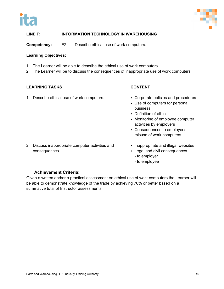



### **LINE F: INFORMATION TECHNOLOGY IN WAREHOUSING**

**Competency:** F2 Describe ethical use of work computers.

### **Learning Objectives:**

- 1. The Learner will be able to describe the ethical use of work computers.
- 2. The Learner will be to discuss the consequences of inappropriate use of work computers,

### **LEARNING TASKS CONTENT**

1. Describe ethical use of work computers. **Corporate policies and procedures** 

- 
- Use of computers for personal business
- Definition of ethics
- Monitoring of employee computer activities by employers
- Consequences to employees misuse of work computers
- 2. Discuss inappropriate computer activities and consequences.
- Inappropriate and illegal websites
- Legal and civil consequences
	- to employer
	- to employee

### **Achievement Criteria:**

Given a written and/or a practical assessment on ethical use of work computers the Learner will be able to demonstrate knowledge of the trade by achieving 70% or better based on a summative total of Instructor assessments.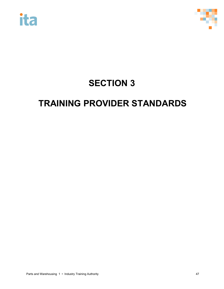



## **SECTION 3**

## **TRAINING PROVIDER STANDARDS**

Parts and Warehousing 1 • Industry Training Authority **Accord 2018** 47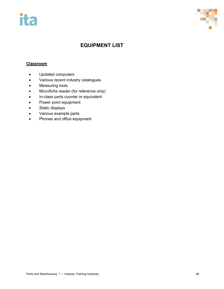



### **EQUIPMENT LIST**

### **Classroom**

- Updated computers
- Various recent industry catalogues
- Measuring tools
- Microfiche reader (for reference only)
- In-class parts counter or equivalent
- Power point equipment
- Static displays
- Various example parts
- Phones and office equipment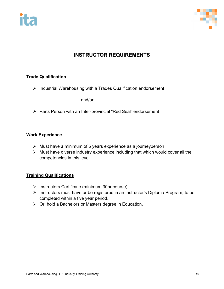



### **INSTRUCTOR REQUIREMENTS**

### **Trade Qualification**

 $\triangleright$  Industrial Warehousing with a Trades Qualification endorsement

and/or

> Parts Person with an Inter-provincial "Red Seal" endorsement

### **Work Experience**

- $\triangleright$  Must have a minimum of 5 years experience as a journeyperson
- Must have diverse industry experience including that which would cover all the competencies in this level

### **Training Qualifications**

- $\triangleright$  Instructors Certificate (minimum 30hr course)
- $\triangleright$  Instructors must have or be registered in an Instructor's Diploma Program, to be completed within a five year period.
- $\triangleright$  Or, hold a Bachelors or Masters degree in Education.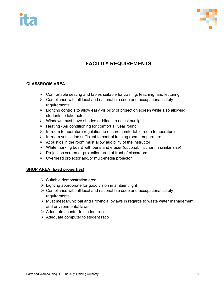# T E



### **FACILITY REQUIREMENTS**

### **CLASSROOM AREA**

- $\triangleright$  Comfortable seating and tables suitable for training, teaching, and lecturing
- $\triangleright$  Compliance with all local and national fire code and occupational safety requirements
- $\triangleright$  Lighting controls to allow easy visibility of projection screen while also allowing students to take notes
- $\triangleright$  Windows must have shades or blinds to adjust sunlight
- $\triangleright$  Heating / Air conditioning for comfort all year round
- $\triangleright$  In-room temperature regulation to ensure comfortable room temperature
- $\triangleright$  In-room ventilation sufficient to control training room temperature
- $\triangleright$  Acoustics in the room must allow audibility of the instructor
- $\triangleright$  White marking board with pens and eraser (optional: flipchart in similar size)
- $\triangleright$  Projection screen or projection area at front of classroom
- $\triangleright$  Overhead projector and/or multi-media projector

### **SHOP AREA (fixed properties)**

- $\triangleright$  Suitable demonstration area
- $\triangleright$  Lighting appropriate for good vision in ambient light
- $\triangleright$  Compliance with all local and national fire code and occupational safety requirements
- $\triangleright$  Must meet Municipal and Provincial bylaws in regards to waste water management and environmental laws
- $\triangleright$  Adequate counter to student ratio
- $\triangleright$  Adequate computer to student ratio